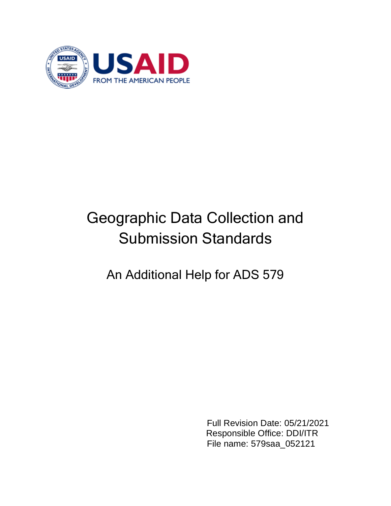

# Geographic Data Collection and Submission Standards

# An Additional Help for ADS 579

Full Revision Date: 05/21/2021 Responsible Office: DDI/ITR File name: 579saa\_052121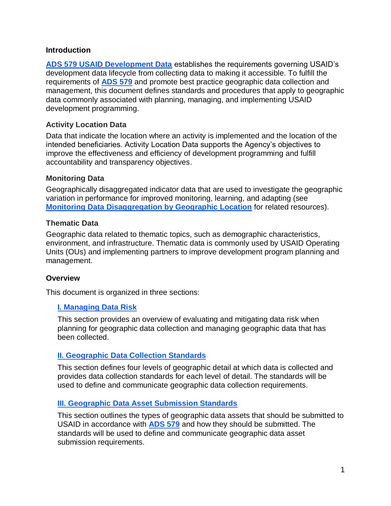#### **Introduction**

**[ADS 579 USAID Development Data](https://www.usaid.gov/ads/policy/500/579)** establishes the requirements governing USAID's development data lifecycle from collecting data to making it accessible. To fulfill the requirements of **[ADS 579](https://www.usaid.gov/ads/policy/500/579)** and promote best practice geographic data collection and management, this document defines standards and procedures that apply to geographic data commonly associated with planning, managing, and implementing USAID development programming.

## **Activity Location Data**

Data that indicate the location where an activity is implemented and the location of the intended beneficiaries. Activity Location Data supports the Agency's objectives to improve the effectiveness and efficiency of development programming and fulfill accountability and transparency objectives.

#### **Monitoring Data**

Geographically disaggregated indicator data that are used to investigate the geographic variation in performance for improved monitoring, learning, and adapting (see **[Monitoring Data Disaggregation by Geographic Location](https://usaidlearninglab.org/library/monitoring-data-disaggregation-geographic-location)** for related resources).

#### **Thematic Data**

Geographic data related to thematic topics, such as demographic characteristics, environment, and infrastructure. Thematic data is commonly used by USAID Operating Units (OUs) and implementing partners to improve development program planning and management.

#### **Overview**

This document is organized in three sections:

# **[I. Managing Data Risk](#page-3-0)**

This section provides an overview of evaluating and mitigating data risk when planning for geographic data collection and managing geographic data that has been collected.

# **[II. Geographic Data Collection Standards](#page-4-0)**

This section defines four levels of geographic detail at which data is collected and provides data collection standards for each level of detail. The standards will be used to define and communicate geographic data collection requirements.

# **[III. Geographic Data Asset Submission Standards](#page-20-0)**

This section outlines the types of geographic data assets that should be submitted to USAID in accordance with **[ADS 579](https://www.usaid.gov/ads/policy/500/579)** and how they should be submitted. The standards will be used to define and communicate geographic data asset submission requirements.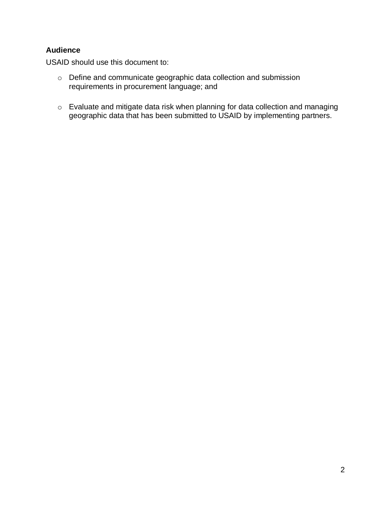# **Audience**

USAID should use this document to:

- o Define and communicate geographic data collection and submission requirements in procurement language; and
- o Evaluate and mitigate data risk when planning for data collection and managing geographic data that has been submitted to USAID by implementing partners.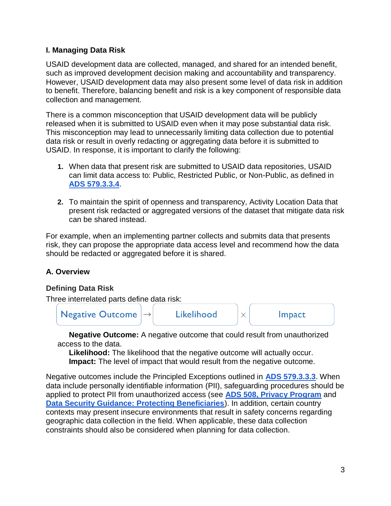# <span id="page-3-0"></span>**I. Managing Data Risk**

USAID development data are collected, managed, and shared for an intended benefit, such as improved development decision making and accountability and transparency. However, USAID development data may also present some level of data risk in addition to benefit. Therefore, balancing benefit and risk is a key component of responsible data collection and management.

There is a common misconception that USAID development data will be publicly released when it is submitted to USAID even when it may pose substantial data risk. This misconception may lead to unnecessarily limiting data collection due to potential data risk or result in overly redacting or aggregating data before it is submitted to USAID. In response, it is important to clarify the following:

- **1.** When data that present risk are submitted to USAID data repositories, USAID can limit data access to: Public, Restricted Public, or Non-Public, as defined in **[ADS 579.3.3.4](https://www.usaid.gov/sites/default/files/documents/1868/579.pdf)**.
- **2.** To maintain the spirit of openness and transparency, Activity Location Data that present risk redacted or aggregated versions of the dataset that mitigate data risk can be shared instead.

For example, when an implementing partner collects and submits data that presents risk, they can propose the appropriate data access level and recommend how the data should be redacted or aggregated before it is shared.

# **A. Overview**

# **Defining Data Risk**

Three interrelated parts define data risk:



**Negative Outcome:** A negative outcome that could result from unauthorized access to the data.

**Likelihood:** The likelihood that the negative outcome will actually occur. **Impact:** The level of impact that would result from the negative outcome.

Negative outcomes include the Principled Exceptions outlined in **[ADS 579.3.3.3](https://www.usaid.gov/sites/default/files/documents/1868/579.pdf)**. When data include personally identifiable information (PII), safeguarding procedures should be applied to protect PII from unauthorized access (see **[ADS 508, Privacy Program](https://www.usaid.gov/sites/default/files/documents/1868/508.pdf)** and **[Data Security Guidance: Protecting Beneficiaries](https://usaidlearninglab.org/library/data-security-guidance-protecting-beneficiaries)**). In addition, certain country contexts may present insecure environments that result in safety concerns regarding geographic data collection in the field. When applicable, these data collection constraints should also be considered when planning for data collection.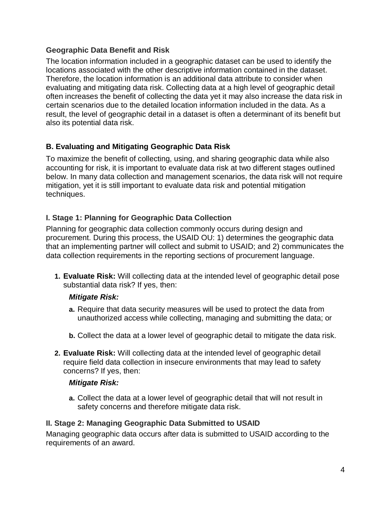# **Geographic Data Benefit and Risk**

The location information included in a geographic dataset can be used to identify the locations associated with the other descriptive information contained in the dataset. Therefore, the location information is an additional data attribute to consider when evaluating and mitigating data risk. Collecting data at a high level of geographic detail often increases the benefit of collecting the data yet it may also increase the data risk in certain scenarios due to the detailed location information included in the data. As a result, the level of geographic detail in a dataset is often a determinant of its benefit but also its potential data risk.

# <span id="page-4-0"></span>**B. Evaluating and Mitigating Geographic Data Risk**

To maximize the benefit of collecting, using, and sharing geographic data while also accounting for risk, it is important to evaluate data risk at two different stages outlined below. In many data collection and management scenarios, the data risk will not require mitigation, yet it is still important to evaluate data risk and potential mitigation techniques.

# **I. Stage 1: Planning for Geographic Data Collection**

Planning for geographic data collection commonly occurs during design and procurement. During this process, the USAID OU: 1) determines the geographic data that an implementing partner will collect and submit to USAID; and 2) communicates the data collection requirements in the reporting sections of procurement language.

**1. Evaluate Risk:** Will collecting data at the intended level of geographic detail pose substantial data risk? If yes, then:

# *Mitigate Risk:*

- **a.** Require that data security measures will be used to protect the data from unauthorized access while collecting, managing and submitting the data; or
- **b.** Collect the data at a lower level of geographic detail to mitigate the data risk.
- **2. Evaluate Risk:** Will collecting data at the intended level of geographic detail require field data collection in insecure environments that may lead to safety concerns? If yes, then:

#### *Mitigate Risk:*

**a.** Collect the data at a lower level of geographic detail that will not result in safety concerns and therefore mitigate data risk.

# **II. Stage 2: Managing Geographic Data Submitted to USAID**

Managing geographic data occurs after data is submitted to USAID according to the requirements of an award.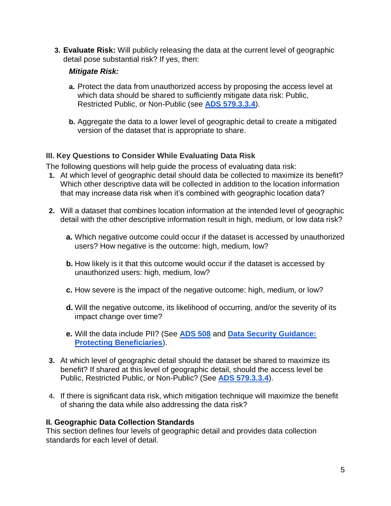**3. Evaluate Risk:** Will publicly releasing the data at the current level of geographic detail pose substantial risk? If yes, then:

# *Mitigate Risk:*

- **a.** Protect the data from unauthorized access by proposing the access level at which data should be shared to sufficiently mitigate data risk: Public, Restricted Public, or Non-Public (see **[ADS 579.3.3.4](https://www.usaid.gov/sites/default/files/documents/1868/579.pdf)**).
- **b.** Aggregate the data to a lower level of geographic detail to create a mitigated version of the dataset that is appropriate to share.

# **III. Key Questions to Consider While Evaluating Data Risk**

The following questions will help guide the process of evaluating data risk:

- **1.** At which level of geographic detail should data be collected to maximize its benefit? Which other descriptive data will be collected in addition to the location information that may increase data risk when it's combined with geographic location data?
- **2.** Will a dataset that combines location information at the intended level of geographic detail with the other descriptive information result in high, medium, or low data risk?
	- **a.** Which negative outcome could occur if the dataset is accessed by unauthorized users? How negative is the outcome: high, medium, low?
	- **b.** How likely is it that this outcome would occur if the dataset is accessed by unauthorized users: high, medium, low?
	- **c.** How severe is the impact of the negative outcome: high, medium, or low?
	- **d.** Will the negative outcome, its likelihood of occurring, and/or the severity of its impact change over time?
	- **e.** Will the data include PII? (See **[ADS 508](https://www.usaid.gov/sites/default/files/documents/1868/508.pdf)** and **[Data Security Guidance:](https://usaidlearninglab.org/library/data-security-guidance-protecting-beneficiaries)  [Protecting Beneficiaries](https://usaidlearninglab.org/library/data-security-guidance-protecting-beneficiaries)**).
- **3.** At which level of geographic detail should the dataset be shared to maximize its benefit? If shared at this level of geographic detail, should the access level be Public, Restricted Public, or Non-Public? (See **[ADS 579.3.3.4](https://www.usaid.gov/sites/default/files/documents/1868/579.pdf)**).
- **4.** If there is significant data risk, which mitigation technique will maximize the benefit of sharing the data while also addressing the data risk?

# **II. Geographic Data Collection Standards**

This section defines four levels of geographic detail and provides data collection standards for each level of detail.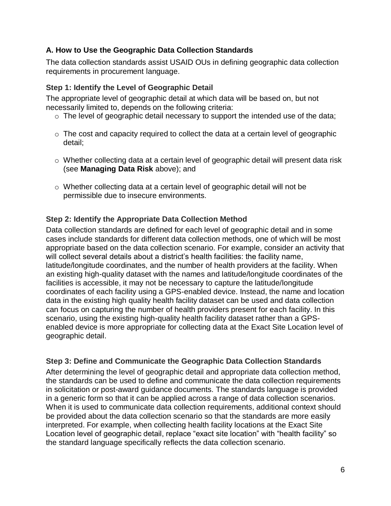# **A. How to Use the Geographic Data Collection Standards**

The data collection standards assist USAID OUs in defining geographic data collection requirements in procurement language.

# **Step 1: Identify the Level of Geographic Detail**

The appropriate level of geographic detail at which data will be based on, but not necessarily limited to, depends on the following criteria:

- o The level of geographic detail necessary to support the intended use of the data;
- o The cost and capacity required to collect the data at a certain level of geographic detail;
- $\circ$  Whether collecting data at a certain level of geographic detail will present data risk (see **Managing Data Risk** above); and
- o Whether collecting data at a certain level of geographic detail will not be permissible due to insecure environments.

# **Step 2: Identify the Appropriate Data Collection Method**

Data collection standards are defined for each level of geographic detail and in some cases include standards for different data collection methods, one of which will be most appropriate based on the data collection scenario. For example, consider an activity that will collect several details about a district's health facilities: the facility name, latitude/longitude coordinates, and the number of health providers at the facility. When an existing high-quality dataset with the names and latitude/longitude coordinates of the facilities is accessible, it may not be necessary to capture the latitude/longitude coordinates of each facility using a GPS-enabled device. Instead, the name and location data in the existing high quality health facility dataset can be used and data collection can focus on capturing the number of health providers present for each facility. In this scenario, using the existing high-quality health facility dataset rather than a GPSenabled device is more appropriate for collecting data at the Exact Site Location level of geographic detail.

# **Step 3: Define and Communicate the Geographic Data Collection Standards**

After determining the level of geographic detail and appropriate data collection method, the standards can be used to define and communicate the data collection requirements in solicitation or post-award guidance documents. The standards language is provided in a generic form so that it can be applied across a range of data collection scenarios. When it is used to communicate data collection requirements, additional context should be provided about the data collection scenario so that the standards are more easily interpreted. For example, when collecting health facility locations at the Exact Site Location level of geographic detail, replace "exact site location" with "health facility" so the standard language specifically reflects the data collection scenario.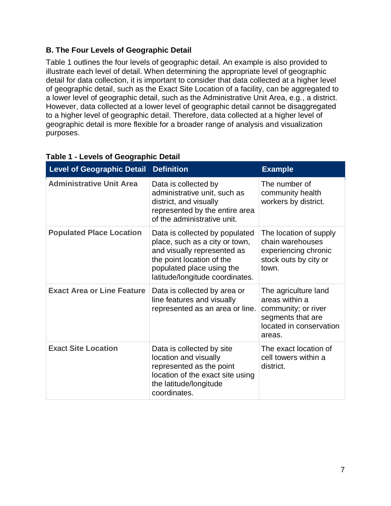# **B. The Four Levels of Geographic Detail**

Table 1 outlines the four levels of geographic detail. An example is also provided to illustrate each level of detail. When determining the appropriate level of geographic detail for data collection, it is important to consider that data collected at a higher level of geographic detail, such as the Exact Site Location of a facility, can be aggregated to a lower level of geographic detail, such as the Administrative Unit Area, e.g., a district. However, data collected at a lower level of geographic detail cannot be disaggregated to a higher level of geographic detail. Therefore, data collected at a higher level of geographic detail is more flexible for a broader range of analysis and visualization purposes.

| <b>Level of Geographic Detail</b> | <b>Definition</b>                                                                                                                                                                            | <b>Example</b>                                                                                                          |
|-----------------------------------|----------------------------------------------------------------------------------------------------------------------------------------------------------------------------------------------|-------------------------------------------------------------------------------------------------------------------------|
| <b>Administrative Unit Area</b>   | Data is collected by<br>administrative unit, such as<br>district, and visually<br>represented by the entire area<br>of the administrative unit.                                              | The number of<br>community health<br>workers by district.                                                               |
| <b>Populated Place Location</b>   | Data is collected by populated<br>place, such as a city or town,<br>and visually represented as<br>the point location of the<br>populated place using the<br>latitude/longitude coordinates. | The location of supply<br>chain warehouses<br>experiencing chronic<br>stock outs by city or<br>town.                    |
| <b>Exact Area or Line Feature</b> | Data is collected by area or<br>line features and visually<br>represented as an area or line.                                                                                                | The agriculture land<br>areas within a<br>community; or river<br>segments that are<br>located in conservation<br>areas. |
| <b>Exact Site Location</b>        | Data is collected by site<br>location and visually<br>represented as the point<br>location of the exact site using<br>the latitude/longitude<br>coordinates.                                 | The exact location of<br>cell towers within a<br>district.                                                              |

# **Table 1 - Levels of Geographic Detail**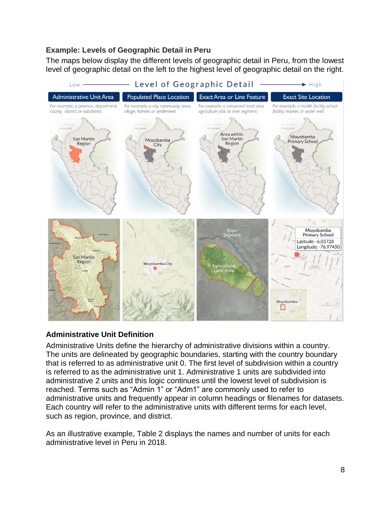# **Example: Levels of Geographic Detail in Peru**

The maps below display the different levels of geographic detail in Peru, from the lowest level of geographic detail on the left to the highest level of geographic detail on the right.



# **Administrative Unit Definition**

Administrative Units define the hierarchy of administrative divisions within a country. The units are delineated by geographic boundaries, starting with the country boundary that is referred to as administrative unit 0. The first level of subdivision within a country is referred to as the administrative unit 1. Administrative 1 units are subdivided into administrative 2 units and this logic continues until the lowest level of subdivision is reached. Terms such as "Admin 1" or "Adm1" are commonly used to refer to administrative units and frequently appear in column headings or filenames for datasets. Each country will refer to the administrative units with different terms for each level, such as region, province, and district.

As an illustrative example, Table 2 displays the names and number of units for each administrative level in Peru in 2018.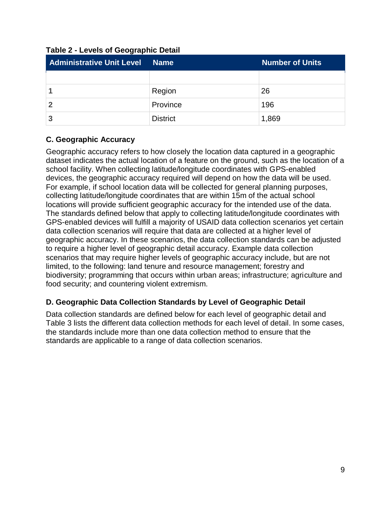| <b>Administrative Unit Level</b> | <b>Name</b>     | <b>Number of Units</b> |
|----------------------------------|-----------------|------------------------|
|                                  |                 |                        |
|                                  | Region          | 26                     |
|                                  | Province        | 196                    |
| 3                                | <b>District</b> | 1,869                  |

**Table 2 - Levels of Geographic Detail**

# **C. Geographic Accuracy**

Geographic accuracy refers to how closely the location data captured in a geographic dataset indicates the actual location of a feature on the ground, such as the location of a school facility. When collecting latitude/longitude coordinates with GPS-enabled devices, the geographic accuracy required will depend on how the data will be used. For example, if school location data will be collected for general planning purposes, collecting latitude/longitude coordinates that are within 15m of the actual school locations will provide sufficient geographic accuracy for the intended use of the data. The standards defined below that apply to collecting latitude/longitude coordinates with GPS-enabled devices will fulfill a majority of USAID data collection scenarios yet certain data collection scenarios will require that data are collected at a higher level of geographic accuracy. In these scenarios, the data collection standards can be adjusted to require a higher level of geographic detail accuracy. Example data collection scenarios that may require higher levels of geographic accuracy include, but are not limited, to the following: land tenure and resource management; forestry and biodiversity; programming that occurs within urban areas; infrastructure; agriculture and food security; and countering violent extremism.

# **D. Geographic Data Collection Standards by Level of Geographic Detail**

Data collection standards are defined below for each level of geographic detail and Table 3 lists the different data collection methods for each level of detail. In some cases, the standards include more than one data collection method to ensure that the standards are applicable to a range of data collection scenarios.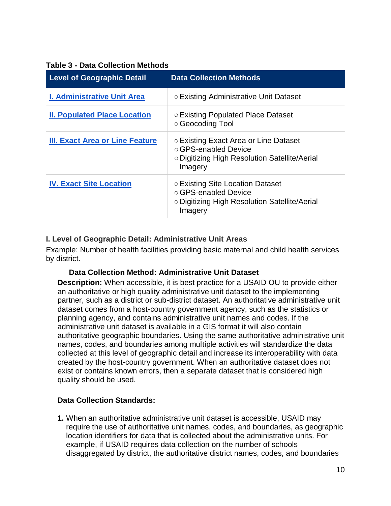| <b>Level of Geographic Detail</b>      | <b>Data Collection Methods</b>                                                                                            |
|----------------------------------------|---------------------------------------------------------------------------------------------------------------------------|
| <b>I. Administrative Unit Area</b>     | ○ Existing Administrative Unit Dataset                                                                                    |
| <b>II. Populated Place Location</b>    | ○ Existing Populated Place Dataset<br>○ Geocoding Tool                                                                    |
| <b>III. Exact Area or Line Feature</b> | ○ Existing Exact Area or Line Dataset<br>○ GPS-enabled Device<br>○ Digitizing High Resolution Satellite/Aerial<br>Imagery |
| <b>IV. Exact Site Location</b>         | ○ Existing Site Location Dataset<br>○ GPS-enabled Device<br>○ Digitizing High Resolution Satellite/Aerial<br>Imagery      |

### **Table 3 - Data Collection Methods**

# <span id="page-10-0"></span>**I. Level of Geographic Detail: Administrative Unit Areas**

Example: Number of health facilities providing basic maternal and child health services by district.

#### **Data Collection Method: Administrative Unit Dataset**

**Description:** When accessible, it is best practice for a USAID OU to provide either an authoritative or high quality administrative unit dataset to the implementing partner, such as a district or sub-district dataset. An authoritative administrative unit dataset comes from a host-country government agency, such as the statistics or planning agency, and contains administrative unit names and codes. If the administrative unit dataset is available in a GIS format it will also contain authoritative geographic boundaries. Using the same authoritative administrative unit names, codes, and boundaries among multiple activities will standardize the data collected at this level of geographic detail and increase its interoperability with data created by the host-country government. When an authoritative dataset does not exist or contains known errors, then a separate dataset that is considered high quality should be used.

#### **Data Collection Standards:**

**1.** When an authoritative administrative unit dataset is accessible, USAID may require the use of authoritative unit names, codes, and boundaries, as geographic location identifiers for data that is collected about the administrative units. For example, if USAID requires data collection on the number of schools disaggregated by district, the authoritative district names, codes, and boundaries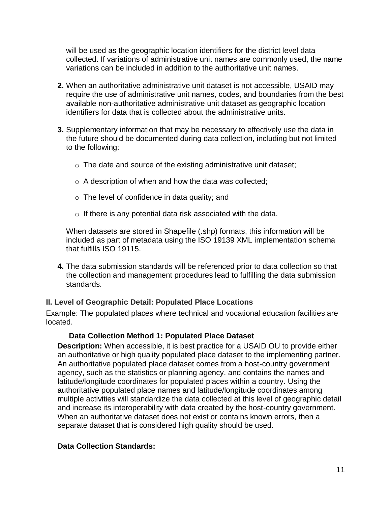will be used as the geographic location identifiers for the district level data collected. If variations of administrative unit names are commonly used, the name variations can be included in addition to the authoritative unit names.

- **2.** When an authoritative administrative unit dataset is not accessible, USAID may require the use of administrative unit names, codes, and boundaries from the best available non-authoritative administrative unit dataset as geographic location identifiers for data that is collected about the administrative units.
- **3.** Supplementary information that may be necessary to effectively use the data in the future should be documented during data collection, including but not limited to the following:
	- o The date and source of the existing administrative unit dataset;
	- o A description of when and how the data was collected;
	- o The level of confidence in data quality; and
	- $\circ$  If there is any potential data risk associated with the data.

When datasets are stored in Shapefile (.shp) formats, this information will be included as part of metadata using the ISO 19139 XML implementation schema that fulfills ISO 19115.

**4.** The data submission standards will be referenced prior to data collection so that the collection and management procedures lead to fulfilling the data submission standards.

# <span id="page-11-0"></span>**II. Level of Geographic Detail: Populated Place Locations**

Example: The populated places where technical and vocational education facilities are located.

# **Data Collection Method 1: Populated Place Dataset**

**Description:** When accessible, it is best practice for a USAID OU to provide either an authoritative or high quality populated place dataset to the implementing partner. An authoritative populated place dataset comes from a host-country government agency, such as the statistics or planning agency, and contains the names and latitude/longitude coordinates for populated places within a country. Using the authoritative populated place names and latitude/longitude coordinates among multiple activities will standardize the data collected at this level of geographic detail and increase its interoperability with data created by the host-country government. When an authoritative dataset does not exist or contains known errors, then a separate dataset that is considered high quality should be used.

# **Data Collection Standards:**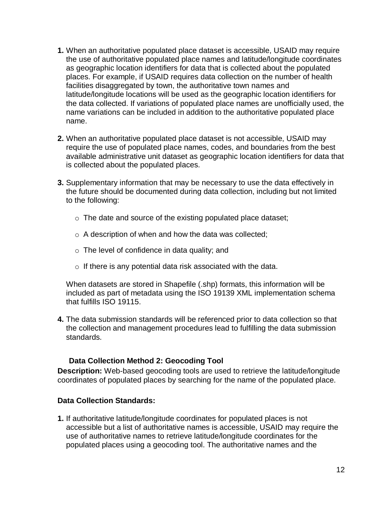- **1.** When an authoritative populated place dataset is accessible, USAID may require the use of authoritative populated place names and latitude/longitude coordinates as geographic location identifiers for data that is collected about the populated places. For example, if USAID requires data collection on the number of health facilities disaggregated by town, the authoritative town names and latitude/longitude locations will be used as the geographic location identifiers for the data collected. If variations of populated place names are unofficially used, the name variations can be included in addition to the authoritative populated place name.
- **2.** When an authoritative populated place dataset is not accessible, USAID may require the use of populated place names, codes, and boundaries from the best available administrative unit dataset as geographic location identifiers for data that is collected about the populated places.
- **3.** Supplementary information that may be necessary to use the data effectively in the future should be documented during data collection, including but not limited to the following:
	- o The date and source of the existing populated place dataset;
	- o A description of when and how the data was collected;
	- $\circ$  The level of confidence in data quality; and
	- $\circ$  If there is any potential data risk associated with the data.

When datasets are stored in Shapefile (.shp) formats, this information will be included as part of metadata using the ISO 19139 XML implementation schema that fulfills ISO 19115.

**4.** The data submission standards will be referenced prior to data collection so that the collection and management procedures lead to fulfilling the data submission standards.

# **Data Collection Method 2: Geocoding Tool**

**Description:** Web-based geocoding tools are used to retrieve the latitude/longitude coordinates of populated places by searching for the name of the populated place.

# **Data Collection Standards:**

**1.** If authoritative latitude/longitude coordinates for populated places is not accessible but a list of authoritative names is accessible, USAID may require the use of authoritative names to retrieve latitude/longitude coordinates for the populated places using a geocoding tool. The authoritative names and the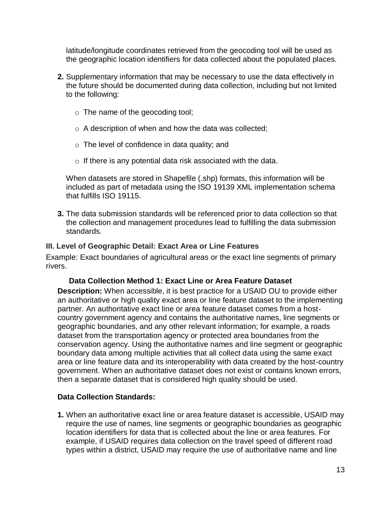latitude/longitude coordinates retrieved from the geocoding tool will be used as the geographic location identifiers for data collected about the populated places.

- **2.** Supplementary information that may be necessary to use the data effectively in the future should be documented during data collection, including but not limited to the following:
	- o The name of the geocoding tool;
	- o A description of when and how the data was collected;
	- o The level of confidence in data quality; and
	- $\circ$  If there is any potential data risk associated with the data.

When datasets are stored in Shapefile (.shp) formats, this information will be included as part of metadata using the ISO 19139 XML implementation schema that fulfills ISO 19115.

**3.** The data submission standards will be referenced prior to data collection so that the collection and management procedures lead to fulfilling the data submission standards.

#### <span id="page-13-0"></span>**III. Level of Geographic Detail: Exact Area or Line Features**

Example: Exact boundaries of agricultural areas or the exact line segments of primary rivers.

#### **Data Collection Method 1: Exact Line or Area Feature Dataset**

**Description:** When accessible, it is best practice for a USAID OU to provide either an authoritative or high quality exact area or line feature dataset to the implementing partner. An authoritative exact line or area feature dataset comes from a hostcountry government agency and contains the authoritative names, line segments or geographic boundaries, and any other relevant information; for example, a roads dataset from the transportation agency or protected area boundaries from the conservation agency. Using the authoritative names and line segment or geographic boundary data among multiple activities that all collect data using the same exact area or line feature data and its interoperability with data created by the host-country government. When an authoritative dataset does not exist or contains known errors, then a separate dataset that is considered high quality should be used.

# **Data Collection Standards:**

**1.** When an authoritative exact line or area feature dataset is accessible, USAID may require the use of names, line segments or geographic boundaries as geographic location identifiers for data that is collected about the line or area features. For example, if USAID requires data collection on the travel speed of different road types within a district, USAID may require the use of authoritative name and line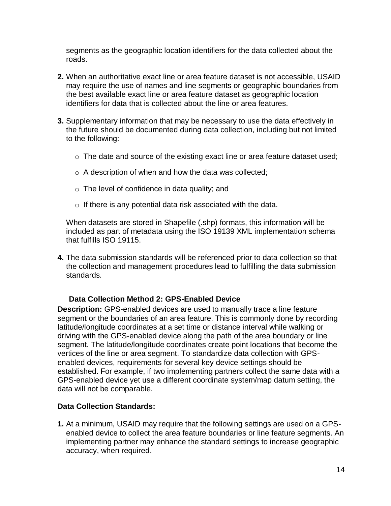segments as the geographic location identifiers for the data collected about the roads.

- **2.** When an authoritative exact line or area feature dataset is not accessible, USAID may require the use of names and line segments or geographic boundaries from the best available exact line or area feature dataset as geographic location identifiers for data that is collected about the line or area features.
- **3.** Supplementary information that may be necessary to use the data effectively in the future should be documented during data collection, including but not limited to the following:
	- $\circ$  The date and source of the existing exact line or area feature dataset used;
	- o A description of when and how the data was collected;
	- o The level of confidence in data quality; and
	- $\circ$  If there is any potential data risk associated with the data.

When datasets are stored in Shapefile (.shp) formats, this information will be included as part of metadata using the ISO 19139 XML implementation schema that fulfills ISO 19115.

**4.** The data submission standards will be referenced prior to data collection so that the collection and management procedures lead to fulfilling the data submission standards.

#### **Data Collection Method 2: GPS-Enabled Device**

**Description:** GPS-enabled devices are used to manually trace a line feature segment or the boundaries of an area feature. This is commonly done by recording latitude/longitude coordinates at a set time or distance interval while walking or driving with the GPS-enabled device along the path of the area boundary or line segment. The latitude/longitude coordinates create point locations that become the vertices of the line or area segment. To standardize data collection with GPSenabled devices, requirements for several key device settings should be established. For example, if two implementing partners collect the same data with a GPS-enabled device yet use a different coordinate system/map datum setting, the data will not be comparable.

#### **Data Collection Standards:**

**1.** At a minimum, USAID may require that the following settings are used on a GPSenabled device to collect the area feature boundaries or line feature segments. An implementing partner may enhance the standard settings to increase geographic accuracy, when required.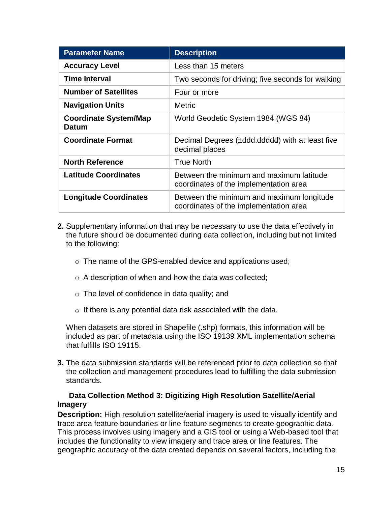| <b>Parameter Name</b>                        | <b>Description</b>                                                                  |
|----------------------------------------------|-------------------------------------------------------------------------------------|
| <b>Accuracy Level</b>                        | Less than 15 meters                                                                 |
| <b>Time Interval</b>                         | Two seconds for driving; five seconds for walking                                   |
| <b>Number of Satellites</b>                  | Four or more                                                                        |
| <b>Navigation Units</b>                      | <b>Metric</b>                                                                       |
| <b>Coordinate System/Map</b><br><b>Datum</b> | World Geodetic System 1984 (WGS 84)                                                 |
| <b>Coordinate Format</b>                     | Decimal Degrees (±ddd.ddddd) with at least five<br>decimal places                   |
| <b>North Reference</b>                       | <b>True North</b>                                                                   |
| <b>Latitude Coordinates</b>                  | Between the minimum and maximum latitude<br>coordinates of the implementation area  |
| <b>Longitude Coordinates</b>                 | Between the minimum and maximum longitude<br>coordinates of the implementation area |

- **2.** Supplementary information that may be necessary to use the data effectively in the future should be documented during data collection, including but not limited to the following:
	- o The name of the GPS-enabled device and applications used;
	- o A description of when and how the data was collected;
	- o The level of confidence in data quality; and
	- o If there is any potential data risk associated with the data.

When datasets are stored in Shapefile (.shp) formats, this information will be included as part of metadata using the ISO 19139 XML implementation schema that fulfills ISO 19115.

**3.** The data submission standards will be referenced prior to data collection so that the collection and management procedures lead to fulfilling the data submission standards.

# **Data Collection Method 3: Digitizing High Resolution Satellite/Aerial Imagery**

**Description:** High resolution satellite/aerial imagery is used to visually identify and trace area feature boundaries or line feature segments to create geographic data. This process involves using imagery and a GIS tool or using a Web-based tool that includes the functionality to view imagery and trace area or line features. The geographic accuracy of the data created depends on several factors, including the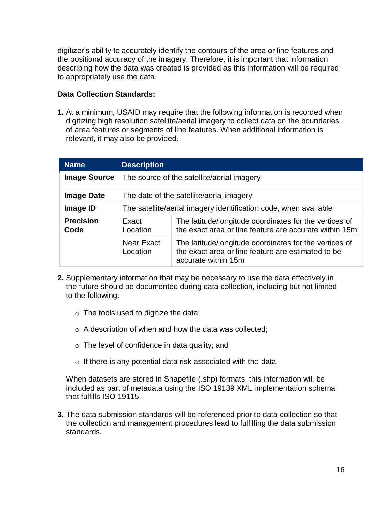digitizer's ability to accurately identify the contours of the area or line features and the positional accuracy of the imagery. Therefore, it is important that information describing how the data was created is provided as this information will be required to appropriately use the data.

# **Data Collection Standards:**

**1.** At a minimum, USAID may require that the following information is recorded when digitizing high resolution satellite/aerial imagery to collect data on the boundaries of area features or segments of line features. When additional information is relevant, it may also be provided.

| <b>Name</b>              | <b>Description</b>                                               |                                                                                                                                     |
|--------------------------|------------------------------------------------------------------|-------------------------------------------------------------------------------------------------------------------------------------|
| <b>Image Source</b>      | The source of the satellite/aerial imagery                       |                                                                                                                                     |
| <b>Image Date</b>        | The date of the satellite/aerial imagery                         |                                                                                                                                     |
| Image ID                 | The satellite/aerial imagery identification code, when available |                                                                                                                                     |
| <b>Precision</b><br>Code | Exact<br>Location                                                | The latitude/longitude coordinates for the vertices of<br>the exact area or line feature are accurate within 15m                    |
|                          | Near Exact<br>Location                                           | The latitude/longitude coordinates for the vertices of<br>the exact area or line feature are estimated to be<br>accurate within 15m |

- **2.** Supplementary information that may be necessary to use the data effectively in the future should be documented during data collection, including but not limited to the following:
	- $\circ$  The tools used to digitize the data;
	- o A description of when and how the data was collected;
	- o The level of confidence in data quality; and
	- o If there is any potential data risk associated with the data.

When datasets are stored in Shapefile (.shp) formats, this information will be included as part of metadata using the ISO 19139 XML implementation schema that fulfills ISO 19115.

**3.** The data submission standards will be referenced prior to data collection so that the collection and management procedures lead to fulfilling the data submission standards.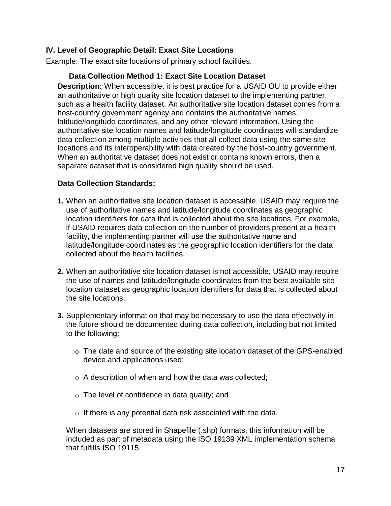# <span id="page-17-0"></span>**IV. Level of Geographic Detail: Exact Site Locations**

Example: The exact site locations of primary school facilities.

#### **Data Collection Method 1: Exact Site Location Dataset**

**Description:** When accessible, it is best practice for a USAID OU to provide either an authoritative or high quality site location dataset to the implementing partner, such as a health facility dataset. An authoritative site location dataset comes from a host-country government agency and contains the authoritative names, latitude/longitude coordinates, and any other relevant information. Using the authoritative site location names and latitude/longitude coordinates will standardize data collection among multiple activities that all collect data using the same site locations and its interoperability with data created by the host-country government. When an authoritative dataset does not exist or contains known errors, then a separate dataset that is considered high quality should be used.

#### **Data Collection Standards:**

- **1.** When an authoritative site location dataset is accessible, USAID may require the use of authoritative names and latitude/longitude coordinates as geographic location identifiers for data that is collected about the site locations. For example, if USAID requires data collection on the number of providers present at a health facility, the implementing partner will use the authoritative name and latitude/longitude coordinates as the geographic location identifiers for the data collected about the health facilities.
- **2.** When an authoritative site location dataset is not accessible, USAID may require the use of names and latitude/longitude coordinates from the best available site location dataset as geographic location identifiers for data that is collected about the site locations.
- **3.** Supplementary information that may be necessary to use the data effectively in the future should be documented during data collection, including but not limited to the following:
	- o The date and source of the existing site location dataset of the GPS-enabled device and applications used;
	- o A description of when and how the data was collected;
	- o The level of confidence in data quality; and
	- $\circ$  If there is any potential data risk associated with the data.

When datasets are stored in Shapefile (.shp) formats, this information will be included as part of metadata using the ISO 19139 XML implementation schema that fulfills ISO 19115.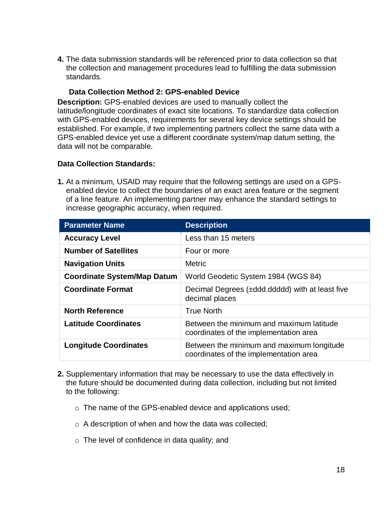**4.** The data submission standards will be referenced prior to data collection so that the collection and management procedures lead to fulfilling the data submission standards.

#### **Data Collection Method 2: GPS-enabled Device**

**Description:** GPS-enabled devices are used to manually collect the latitude/longitude coordinates of exact site locations. To standardize data collection with GPS-enabled devices, requirements for several key device settings should be established. For example, if two implementing partners collect the same data with a GPS-enabled device yet use a different coordinate system/map datum setting, the data will not be comparable.

#### **Data Collection Standards:**

**1.** At a minimum, USAID may require that the following settings are used on a GPSenabled device to collect the boundaries of an exact area feature or the segment of a line feature. An implementing partner may enhance the standard settings to increase geographic accuracy, when required.

| <b>Parameter Name</b>              | <b>Description</b>                                                                  |
|------------------------------------|-------------------------------------------------------------------------------------|
| <b>Accuracy Level</b>              | Less than 15 meters                                                                 |
| <b>Number of Satellites</b>        | Four or more                                                                        |
| <b>Navigation Units</b>            | <b>Metric</b>                                                                       |
| <b>Coordinate System/Map Datum</b> | World Geodetic System 1984 (WGS 84)                                                 |
| <b>Coordinate Format</b>           | Decimal Degrees (±ddd.ddddd) with at least five<br>decimal places                   |
| <b>North Reference</b>             | <b>True North</b>                                                                   |
| <b>Latitude Coordinates</b>        | Between the minimum and maximum latitude<br>coordinates of the implementation area  |
| <b>Longitude Coordinates</b>       | Between the minimum and maximum longitude<br>coordinates of the implementation area |

- **2.** Supplementary information that may be necessary to use the data effectively in the future should be documented during data collection, including but not limited to the following:
	- o The name of the GPS-enabled device and applications used;
	- o A description of when and how the data was collected;
	- $\circ$  The level of confidence in data quality; and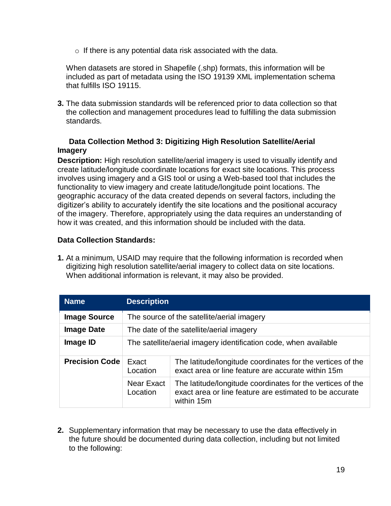o If there is any potential data risk associated with the data.

When datasets are stored in Shapefile (.shp) formats, this information will be included as part of metadata using the ISO 19139 XML implementation schema that fulfills ISO 19115.

**3.** The data submission standards will be referenced prior to data collection so that the collection and management procedures lead to fulfilling the data submission standards.

# **Data Collection Method 3: Digitizing High Resolution Satellite/Aerial Imagery**

**Description:** High resolution satellite/aerial imagery is used to visually identify and create latitude/longitude coordinate locations for exact site locations. This process involves using imagery and a GIS tool or using a Web-based tool that includes the functionality to view imagery and create latitude/longitude point locations. The geographic accuracy of the data created depends on several factors, including the digitizer's ability to accurately identify the site locations and the positional accuracy of the imagery. Therefore, appropriately using the data requires an understanding of how it was created, and this information should be included with the data.

# **Data Collection Standards:**

**1.** At a minimum, USAID may require that the following information is recorded when digitizing high resolution satellite/aerial imagery to collect data on site locations. When additional information is relevant, it may also be provided.

| <b>Name</b>           | <b>Description</b>                                               |                                                                                                                                     |
|-----------------------|------------------------------------------------------------------|-------------------------------------------------------------------------------------------------------------------------------------|
| <b>Image Source</b>   | The source of the satellite/aerial imagery                       |                                                                                                                                     |
| <b>Image Date</b>     | The date of the satellite/aerial imagery                         |                                                                                                                                     |
| Image ID              | The satellite/aerial imagery identification code, when available |                                                                                                                                     |
| <b>Precision Code</b> | Exact<br>Location                                                | The latitude/longitude coordinates for the vertices of the<br>exact area or line feature are accurate within 15m                    |
|                       | Near Exact<br>Location                                           | The latitude/longitude coordinates for the vertices of the<br>exact area or line feature are estimated to be accurate<br>within 15m |

**2.** Supplementary information that may be necessary to use the data effectively in the future should be documented during data collection, including but not limited to the following: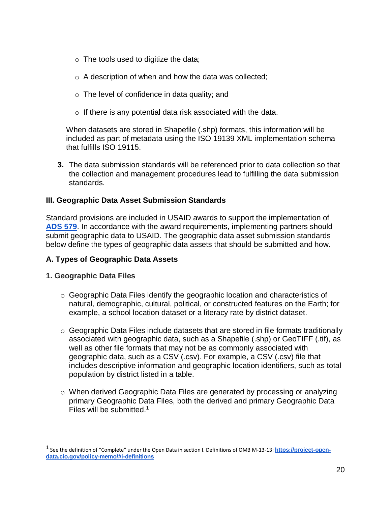- $\circ$  The tools used to digitize the data;
- o A description of when and how the data was collected;
- o The level of confidence in data quality; and
- $\circ$  If there is any potential data risk associated with the data.

When datasets are stored in Shapefile (.shp) formats, this information will be included as part of metadata using the ISO 19139 XML implementation schema that fulfills ISO 19115.

**3.** The data submission standards will be referenced prior to data collection so that the collection and management procedures lead to fulfilling the data submission standards.

#### <span id="page-20-0"></span>**III. Geographic Data Asset Submission Standards**

Standard provisions are included in USAID awards to support the implementation of **[ADS 579](https://www.usaid.gov/sites/default/files/documents/1868/579.pdf)**. In accordance with the award requirements, implementing partners should submit geographic data to USAID. The geographic data asset submission standards below define the types of geographic data assets that should be submitted and how.

# **A. Types of Geographic Data Assets**

#### **1. Geographic Data Files**

 $\overline{a}$ 

- o Geographic Data Files identify the geographic location and characteristics of natural, demographic, cultural, political, or constructed features on the Earth; for example, a school location dataset or a literacy rate by district dataset.
- $\circ$  Geographic Data Files include datasets that are stored in file formats traditionally associated with geographic data, such as a Shapefile (.shp) or GeoTIFF (.tif), as well as other file formats that may not be as commonly associated with geographic data, such as a CSV (.csv). For example, a CSV (.csv) file that includes descriptive information and geographic location identifiers, such as total population by district listed in a table.
- o When derived Geographic Data Files are generated by processing or analyzing primary Geographic Data Files, both the derived and primary Geographic Data Files will be submitted.<sup>1</sup>

<sup>&</sup>lt;sup>1</sup> See the definition of "Complete" under the Open Data in section I. Definitions of OMB M-13-13: **[https://project-open](https://project-open-data.cio.gov/policy-memo/#i-definitions)[data.cio.gov/policy-memo/#i-definitions](https://project-open-data.cio.gov/policy-memo/#i-definitions)**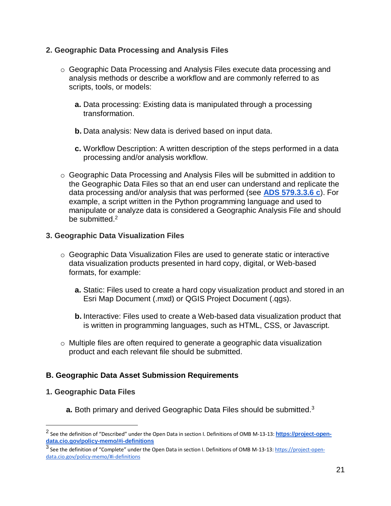#### **2. Geographic Data Processing and Analysis Files**

- o Geographic Data Processing and Analysis Files execute data processing and analysis methods or describe a workflow and are commonly referred to as scripts, tools, or models:
	- **a.** Data processing: Existing data is manipulated through a processing transformation.
	- **b.** Data analysis: New data is derived based on input data.
	- **c.** Workflow Description: A written description of the steps performed in a data processing and/or analysis workflow.
- o Geographic Data Processing and Analysis Files will be submitted in addition to the Geographic Data Files so that an end user can understand and replicate the data processing and/or analysis that was performed (see **[ADS 579.3.3.6 c](https://www.usaid.gov/sites/default/files/documents/1868/579.pdf)**). For example, a script written in the Python programming language and used to manipulate or analyze data is considered a Geographic Analysis File and should be submitted.<sup>2</sup>

#### **3. Geographic Data Visualization Files**

- $\circ$  Geographic Data Visualization Files are used to generate static or interactive data visualization products presented in hard copy, digital, or Web-based formats, for example:
	- **a.** Static: Files used to create a hard copy visualization product and stored in an Esri Map Document (.mxd) or QGIS Project Document (.qgs).
	- **b.** Interactive: Files used to create a Web-based data visualization product that is written in programming languages, such as HTML, CSS, or Javascript.
- $\circ$  Multiple files are often required to generate a geographic data visualization product and each relevant file should be submitted.

# **B. Geographic Data Asset Submission Requirements**

#### **1. Geographic Data Files**

 $\overline{a}$ 

**a.** Both primary and derived Geographic Data Files should be submitted.<sup>3</sup>

<sup>2</sup> See the definition of "Described" under the Open Data in section I. Definitions of OMB M-13-13: **[https://project-open](https://project-open-data.cio.gov/policy-memo/#i-definitions)[data.cio.gov/policy-memo/#i-definitions](https://project-open-data.cio.gov/policy-memo/#i-definitions)**

<sup>&</sup>lt;sup>3</sup> See the definition of "Complete" under the Open Data in section I. Definitions of OMB M-13-13: <u>https://project-open-</u> [data.cio.gov/policy-memo/#i-definitions](https://project-open-data.cio.gov/policy-memo/#i-definitions)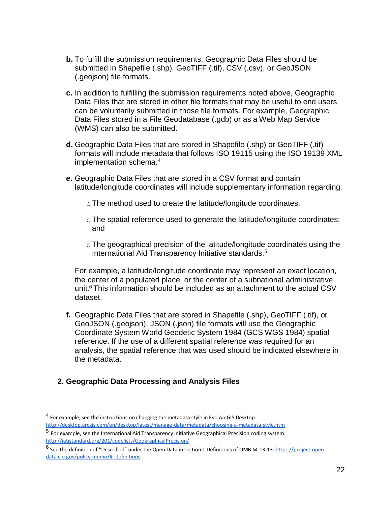- **b.** To fulfill the submission requirements, Geographic Data Files should be submitted in Shapefile (.shp), GeoTIFF (.tif), CSV (.csv), or GeoJSON (.geojson) file formats.
- **c.** In addition to fulfilling the submission requirements noted above, Geographic Data Files that are stored in other file formats that may be useful to end users can be voluntarily submitted in those file formats. For example, Geographic Data Files stored in a File Geodatabase (.gdb) or as a Web Map Service (WMS) can also be submitted.
- **d.** Geographic Data Files that are stored in Shapefile (.shp) or GeoTIFF (.tif) formats will include metadata that follows ISO 19115 using the ISO 19139 XML implementation schema.<sup>4</sup>
- **e.** Geographic Data Files that are stored in a CSV format and contain latitude/longitude coordinates will include supplementary information regarding:
	- oThe method used to create the latitude/longitude coordinates;
	- $\circ$  The spatial reference used to generate the latitude/longitude coordinates; and
	- oThe geographical precision of the latitude/longitude coordinates using the International Aid Transparency Initiative standards.<sup>5</sup>

For example, a latitude/longitude coordinate may represent an exact location, the center of a populated place, or the center of a subnational administrative unit.<sup>6</sup> This information should be included as an attachment to the actual CSV dataset.

**f.** Geographic Data Files that are stored in Shapefile (.shp), GeoTIFF (.tif), or GeoJSON (.geojson), JSON (.json) file formats will use the Geographic Coordinate System World Geodetic System 1984 (GCS WGS 1984) spatial reference. If the use of a different spatial reference was required for an analysis, the spatial reference that was used should be indicated elsewhere in the metadata.

# **2. Geographic Data Processing and Analysis Files**

 $\overline{a}$ 

<sup>&</sup>lt;sup>4</sup> For example, see the instructions on changing the metadata style in Esri ArcGIS Desktop: <http://desktop.arcgis.com/en/desktop/latest/manage-data/metadata/choosing-a-metadata-style.htm>

<sup>5</sup> For example, see the International Aid Transparency Initiative Geographical Precision coding system: <http://iatistandard.org/201/codelists/GeographicalPrecision/>

<sup>&</sup>lt;sup>6</sup> See the definition of "Described" under the Open Data in section I. Definitions of OMB M-13-13[: https://project-open](https://project-open-data.cio.gov/policy-memo/#i-definitions)[data.cio.gov/policy-memo/#i-definitions](https://project-open-data.cio.gov/policy-memo/#i-definitions)